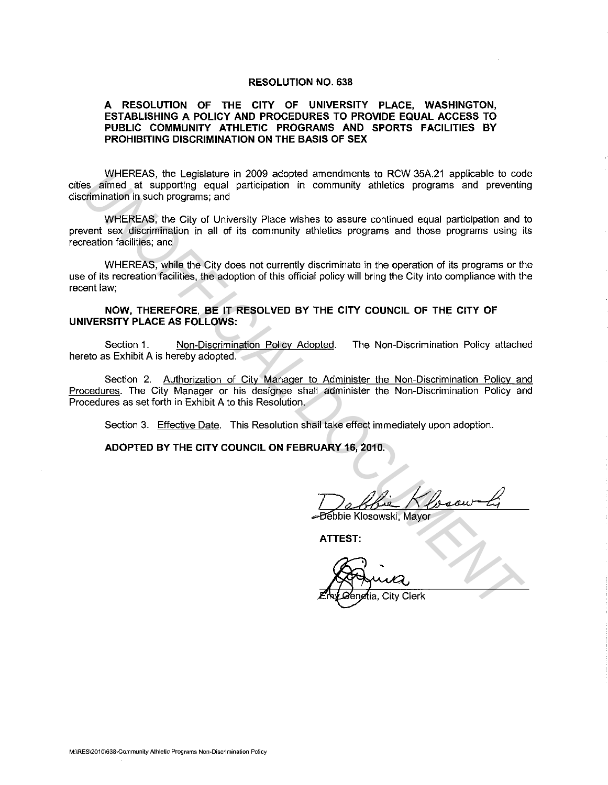### **RESOLUTION NO. 638**

## **A RESOLUTION OF THE CITY OF UNIVERSITY PLACE, WASHINGTON, ESTABLISHING A POLICY AND PROCEDURES TO PROVIDE EQUAL ACCESS TO PUBLIC COMMUNITY ATHLETIC PROGRAMS AND SPORTS FACILITIES BY PROHIBITING DISCRIMINATION ON THE BASIS OF SEX**

WHEREAS, the Legislature in 2009 adopted amendments to RCW 35A.21 applicable to code cities aimed at supporting equal participation in community athletics programs and preventing discrimination in such programs; and WHEREAS, the Legislature in 2009 adopted amendments to RCM 35A21 applicable to construct<br>
es afined at supporting equal participation in community athletics programs and prevent<br>
crimination in such programs; and<br>
vertical

WHEREAS, the City of University Place wishes to assure continued equal participation and to prevent sex discrimination in all of its community athletics programs and those programs using its recreation facilities; and

WHEREAS, while the City does not currently discriminate in the operation of its programs or the use of its recreation facilities, the adoption of this official policy will bring the City into compliance with the recent law;

### **NOW, THEREFORE, BE IT RESOLVED BY THE CITY COUNCIL OF THE CITY OF UNIVERSITY PLACE AS FOLLOWS:**

Section 1. Non-Discrimination Policy Adopted. The Non-Discrimination Policy attached hereto as Exhibit A is hereby adopted.

Section 2. Authorization of City Manager to Administer the Non-Discrimination Policy and Procedures. The City Manager or his designee shall administer the Non-Discrimination Policy and Procedures as set forth in Exhibit A to this Resolution.

Section 3. Effective Date. This Resolution shall take effect immediately upon adoption.

#### **ADOPTED BY THE CITY COUNCIL ON FEBRUARY 16, 2010.**

Debbie Klosow Li

**ATTEST:**